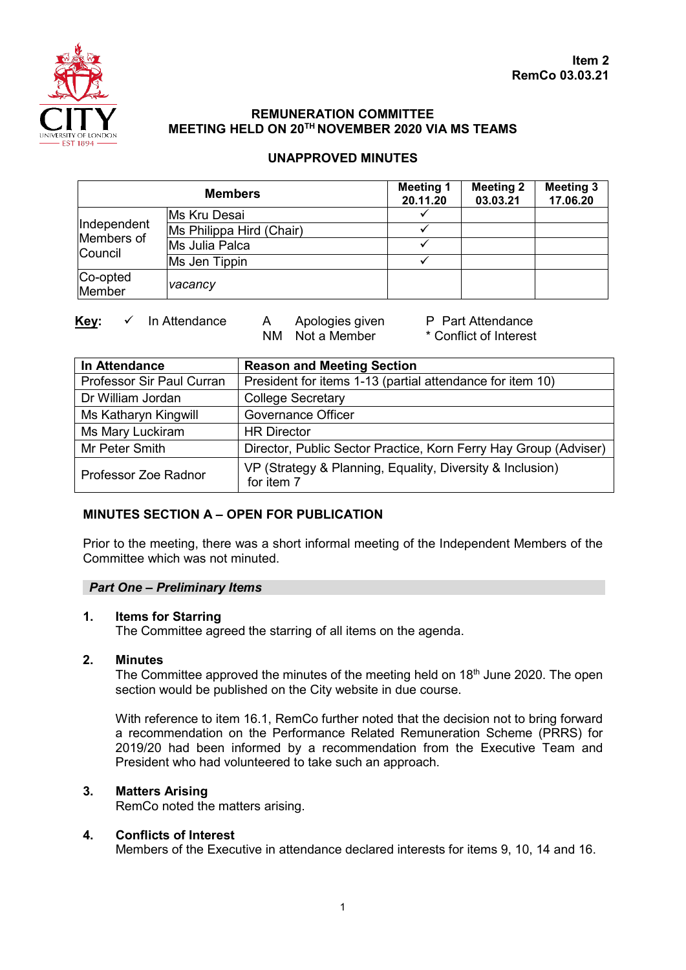

# **REMUNERATION COMMITTEE MEETING HELD ON 20TH NOVEMBER 2020 VIA MS TEAMS**

# **UNAPPROVED MINUTES**

| <b>Members</b>                       |                          | <b>Meeting 1</b><br>20.11.20 | <b>Meeting 2</b><br>03.03.21 | <b>Meeting 3</b><br>17.06.20 |
|--------------------------------------|--------------------------|------------------------------|------------------------------|------------------------------|
| Independent<br>Members of<br>Council | Ms Kru Desai             |                              |                              |                              |
|                                      | Ms Philippa Hird (Chair) |                              |                              |                              |
|                                      | Ms Julia Palca           |                              |                              |                              |
|                                      | Ms Jen Tippin            |                              |                              |                              |
| Co-opted<br>Member                   | vacancy                  |                              |                              |                              |

**Key:** ✓ In Attendance A Apologies given P Part Attendance<br>NM Not a Member \* Conflict of Interest

\* Conflict of Interest

| In Attendance             | <b>Reason and Meeting Section</b>                                       |  |  |  |
|---------------------------|-------------------------------------------------------------------------|--|--|--|
| Professor Sir Paul Curran | President for items 1-13 (partial attendance for item 10)               |  |  |  |
| Dr William Jordan         | <b>College Secretary</b>                                                |  |  |  |
| Ms Katharyn Kingwill      | <b>Governance Officer</b>                                               |  |  |  |
| Ms Mary Luckiram          | <b>HR Director</b>                                                      |  |  |  |
| Mr Peter Smith            | Director, Public Sector Practice, Korn Ferry Hay Group (Adviser)        |  |  |  |
| Professor Zoe Radnor      | VP (Strategy & Planning, Equality, Diversity & Inclusion)<br>for item 7 |  |  |  |

# **MINUTES SECTION A – OPEN FOR PUBLICATION**

Prior to the meeting, there was a short informal meeting of the Independent Members of the Committee which was not minuted.

## *Part One – Preliminary Items*

#### **1. Items for Starring**

The Committee agreed the starring of all items on the agenda.

#### **2. Minutes**

The Committee approved the minutes of the meeting held on 18<sup>th</sup> June 2020. The open section would be published on the City website in due course.

With reference to item 16.1, RemCo further noted that the decision not to bring forward a recommendation on the Performance Related Remuneration Scheme (PRRS) for 2019/20 had been informed by a recommendation from the Executive Team and President who had volunteered to take such an approach.

## **3. Matters Arising**

RemCo noted the matters arising.

#### **4. Conflicts of Interest**

Members of the Executive in attendance declared interests for items 9, 10, 14 and 16.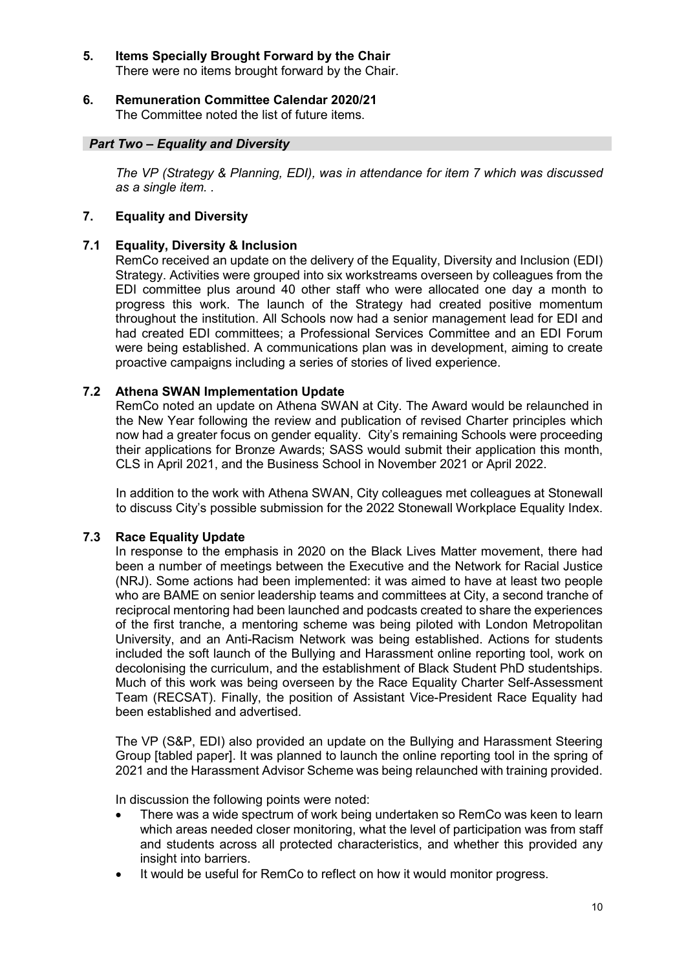#### **5. Items Specially Brought Forward by the Chair** There were no items brought forward by the Chair.

# **6. Remuneration Committee Calendar 2020/21**

The Committee noted the list of future items.

## *Part Two – Equality and Diversity*

*The VP (Strategy & Planning, EDI), was in attendance for item 7 which was discussed as a single item. .* 

## **7. Equality and Diversity**

## **7.1 Equality, Diversity & Inclusion**

RemCo received an update on the delivery of the Equality, Diversity and Inclusion (EDI) Strategy. Activities were grouped into six workstreams overseen by colleagues from the EDI committee plus around 40 other staff who were allocated one day a month to progress this work. The launch of the Strategy had created positive momentum throughout the institution. All Schools now had a senior management lead for EDI and had created EDI committees; a Professional Services Committee and an EDI Forum were being established. A communications plan was in development, aiming to create proactive campaigns including a series of stories of lived experience.

## **7.2 Athena SWAN Implementation Update**

RemCo noted an update on Athena SWAN at City. The Award would be relaunched in the New Year following the review and publication of revised Charter principles which now had a greater focus on gender equality. City's remaining Schools were proceeding their applications for Bronze Awards; SASS would submit their application this month, CLS in April 2021, and the Business School in November 2021 or April 2022.

In addition to the work with Athena SWAN, City colleagues met colleagues at Stonewall to discuss City's possible submission for the 2022 Stonewall Workplace Equality Index.

## **7.3 Race Equality Update**

In response to the emphasis in 2020 on the Black Lives Matter movement, there had been a number of meetings between the Executive and the Network for Racial Justice (NRJ). Some actions had been implemented: it was aimed to have at least two people who are BAME on senior leadership teams and committees at City, a second tranche of reciprocal mentoring had been launched and podcasts created to share the experiences of the first tranche, a mentoring scheme was being piloted with London Metropolitan University, and an Anti-Racism Network was being established. Actions for students included the soft launch of the Bullying and Harassment online reporting tool, work on decolonising the curriculum, and the establishment of Black Student PhD studentships. Much of this work was being overseen by the Race Equality Charter Self-Assessment Team (RECSAT). Finally, the position of Assistant Vice-President Race Equality had been established and advertised.

The VP (S&P, EDI) also provided an update on the Bullying and Harassment Steering Group [tabled paper]. It was planned to launch the online reporting tool in the spring of 2021 and the Harassment Advisor Scheme was being relaunched with training provided.

In discussion the following points were noted:

- There was a wide spectrum of work being undertaken so RemCo was keen to learn which areas needed closer monitoring, what the level of participation was from staff and students across all protected characteristics, and whether this provided any insight into barriers.
- It would be useful for RemCo to reflect on how it would monitor progress.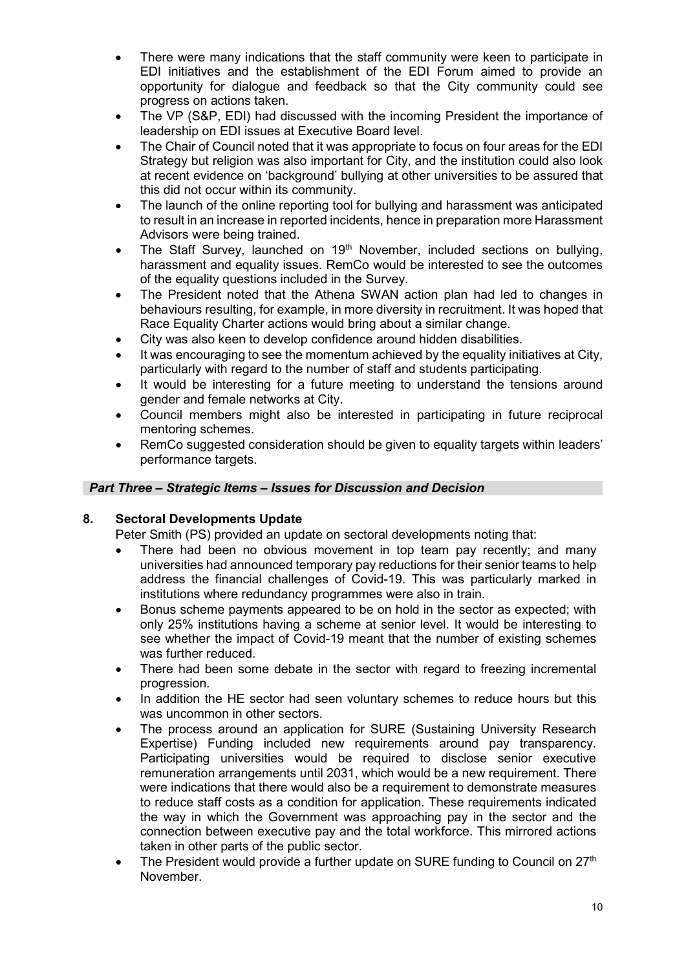- There were many indications that the staff community were keen to participate in EDI initiatives and the establishment of the EDI Forum aimed to provide an opportunity for dialogue and feedback so that the City community could see progress on actions taken.
- The VP (S&P, EDI) had discussed with the incoming President the importance of leadership on EDI issues at Executive Board level.
- The Chair of Council noted that it was appropriate to focus on four areas for the EDI Strategy but religion was also important for City, and the institution could also look at recent evidence on 'background' bullying at other universities to be assured that this did not occur within its community.
- The launch of the online reporting tool for bullying and harassment was anticipated to result in an increase in reported incidents, hence in preparation more Harassment Advisors were being trained.
- The Staff Survey, launched on 19<sup>th</sup> November, included sections on bullying, harassment and equality issues. RemCo would be interested to see the outcomes of the equality questions included in the Survey.
- The President noted that the Athena SWAN action plan had led to changes in behaviours resulting, for example, in more diversity in recruitment. It was hoped that Race Equality Charter actions would bring about a similar change.
- City was also keen to develop confidence around hidden disabilities.
- It was encouraging to see the momentum achieved by the equality initiatives at City, particularly with regard to the number of staff and students participating.
- It would be interesting for a future meeting to understand the tensions around gender and female networks at City.
- Council members might also be interested in participating in future reciprocal mentoring schemes.
- RemCo suggested consideration should be given to equality targets within leaders' performance targets.

## *Part Three – Strategic Items – Issues for Discussion and Decision*

## **8. Sectoral Developments Update**

Peter Smith (PS) provided an update on sectoral developments noting that:

- There had been no obvious movement in top team pay recently; and many universities had announced temporary pay reductions for their senior teams to help address the financial challenges of Covid-19. This was particularly marked in institutions where redundancy programmes were also in train.
- Bonus scheme payments appeared to be on hold in the sector as expected; with only 25% institutions having a scheme at senior level. It would be interesting to see whether the impact of Covid-19 meant that the number of existing schemes was further reduced.
- There had been some debate in the sector with regard to freezing incremental progression.
- In addition the HE sector had seen voluntary schemes to reduce hours but this was uncommon in other sectors.
- The process around an application for SURE (Sustaining University Research Expertise) Funding included new requirements around pay transparency. Participating universities would be required to disclose senior executive remuneration arrangements until 2031, which would be a new requirement. There were indications that there would also be a requirement to demonstrate measures to reduce staff costs as a condition for application. These requirements indicated the way in which the Government was approaching pay in the sector and the connection between executive pay and the total workforce. This mirrored actions taken in other parts of the public sector.
- The President would provide a further update on SURE funding to Council on  $27<sup>th</sup>$ November.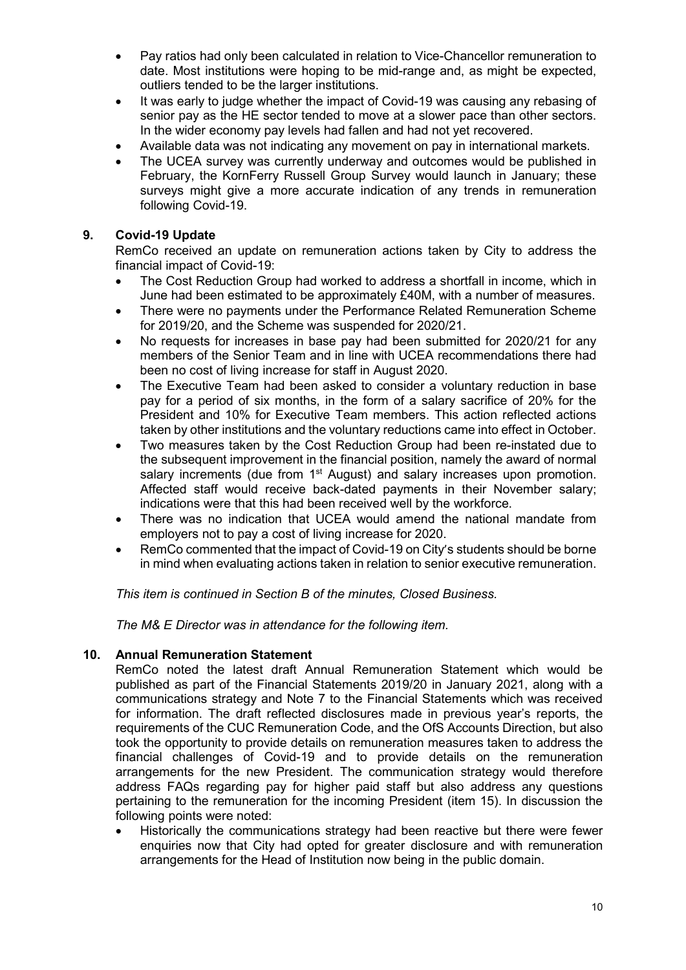- Pay ratios had only been calculated in relation to Vice-Chancellor remuneration to date. Most institutions were hoping to be mid-range and, as might be expected, outliers tended to be the larger institutions.
- It was early to judge whether the impact of Covid-19 was causing any rebasing of senior pay as the HE sector tended to move at a slower pace than other sectors. In the wider economy pay levels had fallen and had not yet recovered.
- Available data was not indicating any movement on pay in international markets.
- The UCEA survey was currently underway and outcomes would be published in February, the KornFerry Russell Group Survey would launch in January; these surveys might give a more accurate indication of any trends in remuneration following Covid-19.

# **9. Covid-19 Update**

RemCo received an update on remuneration actions taken by City to address the financial impact of Covid-19:

- The Cost Reduction Group had worked to address a shortfall in income, which in June had been estimated to be approximately £40M, with a number of measures.
- There were no payments under the Performance Related Remuneration Scheme for 2019/20, and the Scheme was suspended for 2020/21.
- No requests for increases in base pay had been submitted for 2020/21 for any members of the Senior Team and in line with UCEA recommendations there had been no cost of living increase for staff in August 2020.
- The Executive Team had been asked to consider a voluntary reduction in base pay for a period of six months, in the form of a salary sacrifice of 20% for the President and 10% for Executive Team members. This action reflected actions taken by other institutions and the voluntary reductions came into effect in October.
- Two measures taken by the Cost Reduction Group had been re-instated due to the subsequent improvement in the financial position, namely the award of normal salary increments (due from 1<sup>st</sup> August) and salary increases upon promotion. Affected staff would receive back-dated payments in their November salary; indications were that this had been received well by the workforce.
- There was no indication that UCEA would amend the national mandate from employers not to pay a cost of living increase for 2020.
- RemCo commented that the impact of Covid-19 on City's students should be borne in mind when evaluating actions taken in relation to senior executive remuneration.

*This item is continued in Section B of the minutes, Closed Business.* 

*The M& E Director was in attendance for the following item.* 

## **10. Annual Remuneration Statement**

RemCo noted the latest draft Annual Remuneration Statement which would be published as part of the Financial Statements 2019/20 in January 2021, along with a communications strategy and Note 7 to the Financial Statements which was received for information. The draft reflected disclosures made in previous year's reports, the requirements of the CUC Remuneration Code, and the OfS Accounts Direction, but also took the opportunity to provide details on remuneration measures taken to address the financial challenges of Covid-19 and to provide details on the remuneration arrangements for the new President. The communication strategy would therefore address FAQs regarding pay for higher paid staff but also address any questions pertaining to the remuneration for the incoming President (item 15). In discussion the following points were noted:

• Historically the communications strategy had been reactive but there were fewer enquiries now that City had opted for greater disclosure and with remuneration arrangements for the Head of Institution now being in the public domain.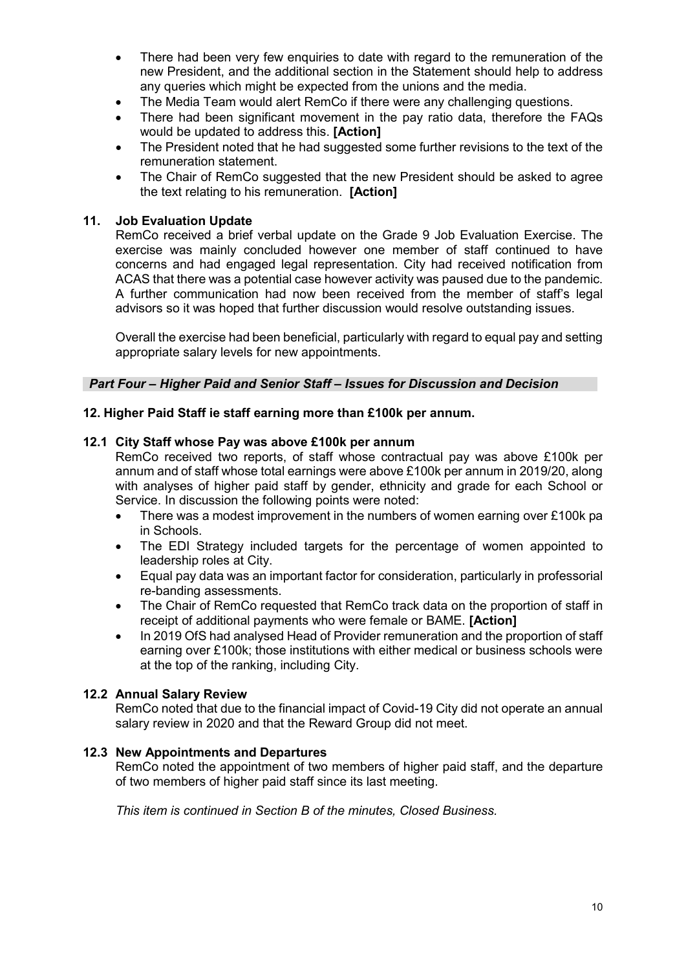- There had been very few enquiries to date with regard to the remuneration of the new President, and the additional section in the Statement should help to address any queries which might be expected from the unions and the media.
- The Media Team would alert RemCo if there were any challenging questions.
- There had been significant movement in the pay ratio data, therefore the FAQs would be updated to address this. **[Action]**
- The President noted that he had suggested some further revisions to the text of the remuneration statement.
- The Chair of RemCo suggested that the new President should be asked to agree the text relating to his remuneration. **[Action]**

## **11. Job Evaluation Update**

RemCo received a brief verbal update on the Grade 9 Job Evaluation Exercise. The exercise was mainly concluded however one member of staff continued to have concerns and had engaged legal representation. City had received notification from ACAS that there was a potential case however activity was paused due to the pandemic. A further communication had now been received from the member of staff's legal advisors so it was hoped that further discussion would resolve outstanding issues.

Overall the exercise had been beneficial, particularly with regard to equal pay and setting appropriate salary levels for new appointments.

## *Part Four – Higher Paid and Senior Staff – Issues for Discussion and Decision*

## **12. Higher Paid Staff ie staff earning more than £100k per annum.**

#### **12.1 City Staff whose Pay was above £100k per annum**

RemCo received two reports, of staff whose contractual pay was above £100k per annum and of staff whose total earnings were above £100k per annum in 2019/20, along with analyses of higher paid staff by gender, ethnicity and grade for each School or Service. In discussion the following points were noted:

- There was a modest improvement in the numbers of women earning over £100k pa in Schools.
- The EDI Strategy included targets for the percentage of women appointed to leadership roles at City.
- Equal pay data was an important factor for consideration, particularly in professorial re-banding assessments.
- The Chair of RemCo requested that RemCo track data on the proportion of staff in receipt of additional payments who were female or BAME. **[Action]**
- In 2019 OfS had analysed Head of Provider remuneration and the proportion of staff earning over £100k; those institutions with either medical or business schools were at the top of the ranking, including City.

## **12.2 Annual Salary Review**

RemCo noted that due to the financial impact of Covid-19 City did not operate an annual salary review in 2020 and that the Reward Group did not meet.

## **12.3 New Appointments and Departures**

RemCo noted the appointment of two members of higher paid staff, and the departure of two members of higher paid staff since its last meeting.

*This item is continued in Section B of the minutes, Closed Business.*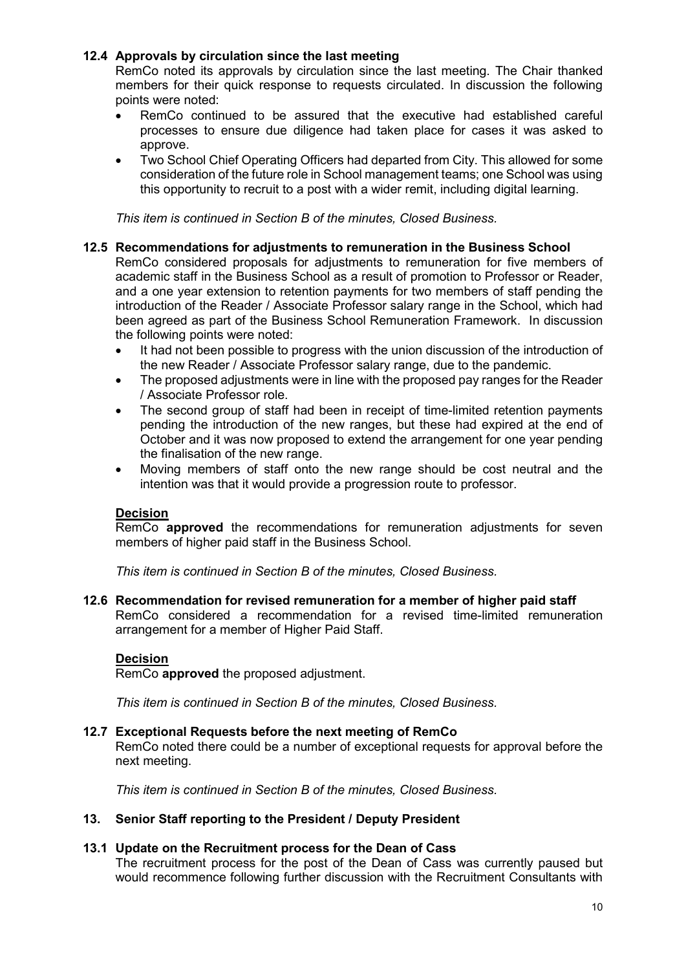## **12.4 Approvals by circulation since the last meeting**

RemCo noted its approvals by circulation since the last meeting. The Chair thanked members for their quick response to requests circulated. In discussion the following points were noted:

- RemCo continued to be assured that the executive had established careful processes to ensure due diligence had taken place for cases it was asked to approve.
- Two School Chief Operating Officers had departed from City. This allowed for some consideration of the future role in School management teams; one School was using this opportunity to recruit to a post with a wider remit, including digital learning.

*This item is continued in Section B of the minutes, Closed Business.*

#### **12.5 Recommendations for adjustments to remuneration in the Business School**

RemCo considered proposals for adjustments to remuneration for five members of academic staff in the Business School as a result of promotion to Professor or Reader, and a one year extension to retention payments for two members of staff pending the introduction of the Reader / Associate Professor salary range in the School, which had been agreed as part of the Business School Remuneration Framework. In discussion the following points were noted:

- It had not been possible to progress with the union discussion of the introduction of the new Reader / Associate Professor salary range, due to the pandemic.
- The proposed adjustments were in line with the proposed pay ranges for the Reader / Associate Professor role.
- The second group of staff had been in receipt of time-limited retention payments pending the introduction of the new ranges, but these had expired at the end of October and it was now proposed to extend the arrangement for one year pending the finalisation of the new range.
- Moving members of staff onto the new range should be cost neutral and the intention was that it would provide a progression route to professor.

## **Decision**

RemCo **approved** the recommendations for remuneration adjustments for seven members of higher paid staff in the Business School.

*This item is continued in Section B of the minutes, Closed Business.*

## **12.6 Recommendation for revised remuneration for a member of higher paid staff**

RemCo considered a recommendation for a revised time-limited remuneration arrangement for a member of Higher Paid Staff.

#### **Decision**

RemCo **approved** the proposed adjustment.

*This item is continued in Section B of the minutes, Closed Business.*

#### **12.7 Exceptional Requests before the next meeting of RemCo**

RemCo noted there could be a number of exceptional requests for approval before the next meeting.

*This item is continued in Section B of the minutes, Closed Business.*

#### **13. Senior Staff reporting to the President / Deputy President**

#### **13.1 Update on the Recruitment process for the Dean of Cass**

The recruitment process for the post of the Dean of Cass was currently paused but would recommence following further discussion with the Recruitment Consultants with